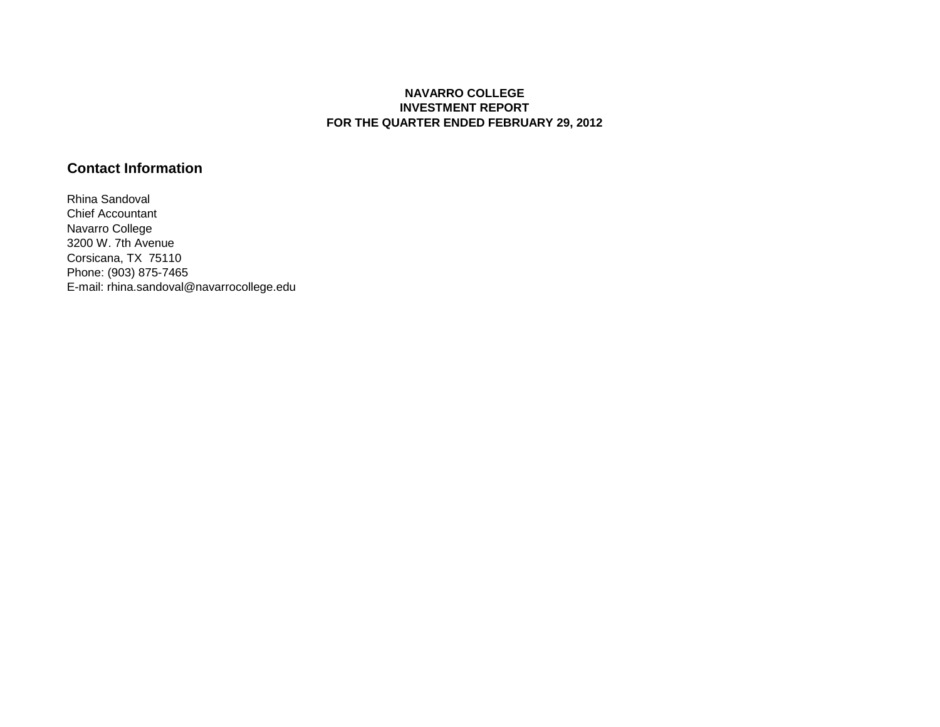#### **NAVARRO COLLEGE INVESTMENT REPORT FOR THE QUARTER ENDED FEBRUARY 29, 2012**

## **Contact Information**

Rhina Sandoval Chief Accountant Navarro College 3200 W. 7th Avenue Corsicana, TX 75110 Phone: (903) 875-7465 E-mail: rhina.sandoval@navarrocollege.edu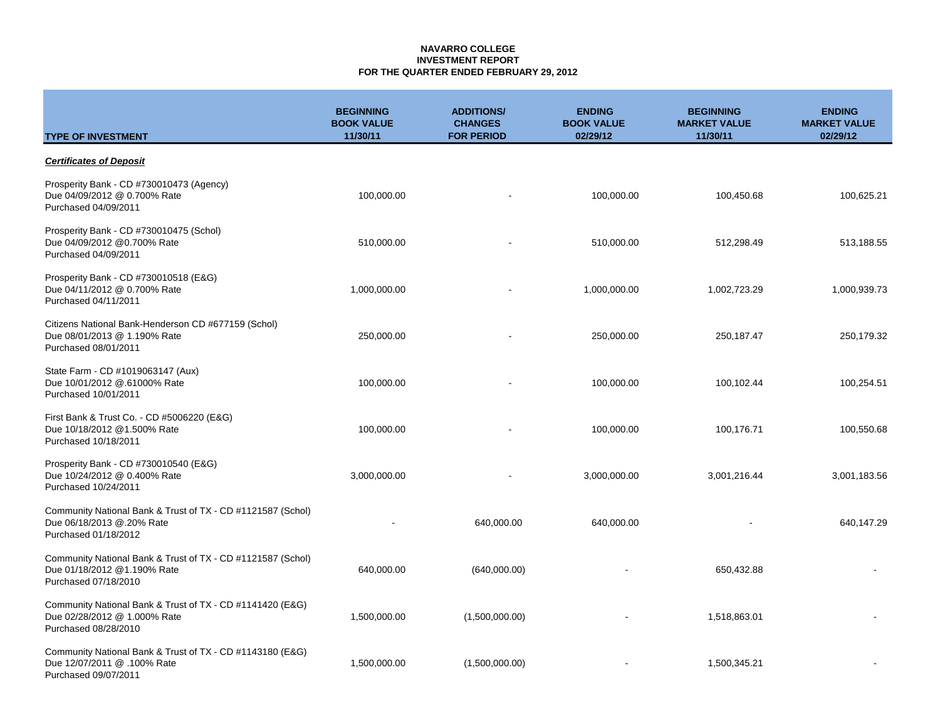### **NAVARRO COLLEGE INVESTMENT REPORT FOR THE QUARTER ENDED FEBRUARY 29, 2012**

|                                                                                                                    | <b>BEGINNING</b><br><b>BOOK VALUE</b> | <b>ADDITIONS/</b><br><b>CHANGES</b> | <b>ENDING</b><br><b>BOOK VALUE</b> | <b>BEGINNING</b><br><b>MARKET VALUE</b> | <b>ENDING</b><br><b>MARKET VALUE</b> |
|--------------------------------------------------------------------------------------------------------------------|---------------------------------------|-------------------------------------|------------------------------------|-----------------------------------------|--------------------------------------|
| <b>TYPE OF INVESTMENT</b>                                                                                          | 11/30/11                              | <b>FOR PERIOD</b>                   | 02/29/12                           | 11/30/11                                | 02/29/12                             |
| <b>Certificates of Deposit</b>                                                                                     |                                       |                                     |                                    |                                         |                                      |
| Prosperity Bank - CD #730010473 (Agency)<br>Due 04/09/2012 @ 0.700% Rate<br>Purchased 04/09/2011                   | 100,000.00                            | $\overline{\phantom{a}}$            | 100,000.00                         | 100,450.68                              | 100,625.21                           |
| Prosperity Bank - CD #730010475 (Schol)<br>Due 04/09/2012 @0.700% Rate<br>Purchased 04/09/2011                     | 510,000.00                            | $\overline{\phantom{a}}$            | 510,000.00                         | 512,298.49                              | 513,188.55                           |
| Prosperity Bank - CD #730010518 (E&G)<br>Due 04/11/2012 @ 0.700% Rate<br>Purchased 04/11/2011                      | 1,000,000.00                          |                                     | 1,000,000.00                       | 1,002,723.29                            | 1,000,939.73                         |
| Citizens National Bank-Henderson CD #677159 (Schol)<br>Due 08/01/2013 @ 1.190% Rate<br>Purchased 08/01/2011        | 250,000.00                            |                                     | 250,000.00                         | 250,187.47                              | 250,179.32                           |
| State Farm - CD #1019063147 (Aux)<br>Due 10/01/2012 @.61000% Rate<br>Purchased 10/01/2011                          | 100,000.00                            |                                     | 100,000.00                         | 100,102.44                              | 100,254.51                           |
| First Bank & Trust Co. - CD #5006220 (E&G)<br>Due 10/18/2012 @1.500% Rate<br>Purchased 10/18/2011                  | 100,000.00                            |                                     | 100,000.00                         | 100,176.71                              | 100,550.68                           |
| Prosperity Bank - CD #730010540 (E&G)<br>Due 10/24/2012 @ 0.400% Rate<br>Purchased 10/24/2011                      | 3,000,000.00                          |                                     | 3,000,000.00                       | 3,001,216.44                            | 3,001,183.56                         |
| Community National Bank & Trust of TX - CD #1121587 (Schol)<br>Due 06/18/2013 @.20% Rate<br>Purchased 01/18/2012   |                                       | 640,000.00                          | 640,000.00                         |                                         | 640,147.29                           |
| Community National Bank & Trust of TX - CD #1121587 (Schol)<br>Due 01/18/2012 @1.190% Rate<br>Purchased 07/18/2010 | 640,000.00                            | (640,000.00)                        |                                    | 650,432.88                              |                                      |
| Community National Bank & Trust of TX - CD #1141420 (E&G)<br>Due 02/28/2012 @ 1.000% Rate<br>Purchased 08/28/2010  | 1,500,000.00                          | (1,500,000.00)                      |                                    | 1,518,863.01                            |                                      |
| Community National Bank & Trust of TX - CD #1143180 (E&G)<br>Due 12/07/2011 @ .100% Rate<br>Purchased 09/07/2011   | 1,500,000.00                          | (1,500,000.00)                      |                                    | 1,500,345.21                            |                                      |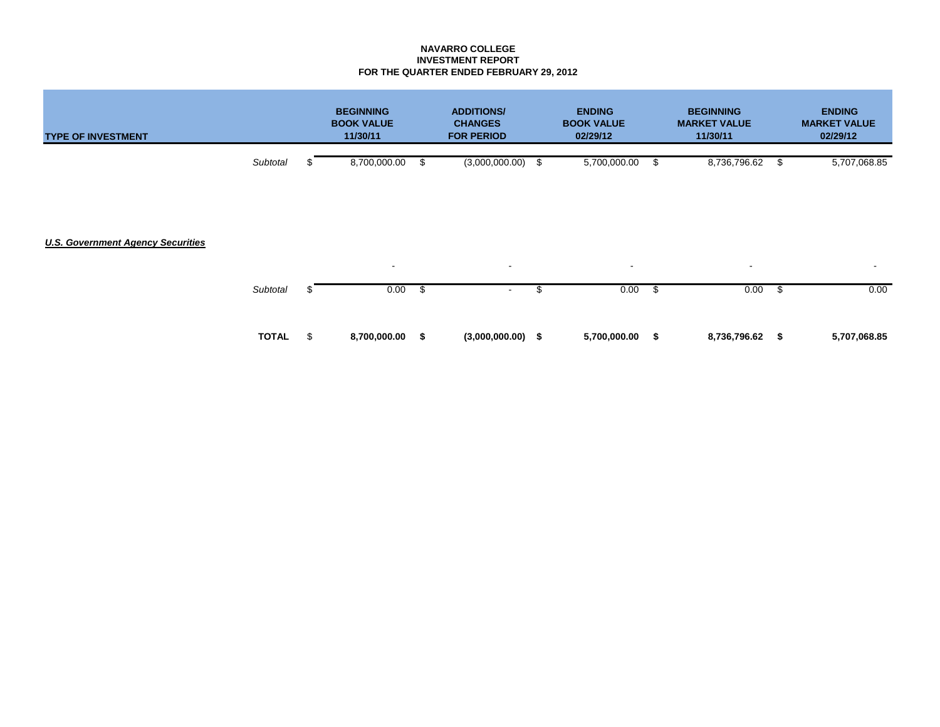### **NAVARRO COLLEGE INVESTMENT REPORT FOR THE QUARTER ENDED FEBRUARY 29, 2012**

| <b>TYPE OF INVESTMENT</b>                |              |     | <b>BEGINNING</b><br><b>BOOK VALUE</b><br>11/30/11 |    | <b>ADDITIONS/</b><br><b>CHANGES</b><br><b>FOR PERIOD</b> |     | <b>ENDING</b><br><b>BOOK VALUE</b><br>02/29/12 |      | <b>BEGINNING</b><br><b>MARKET VALUE</b><br>11/30/11 | <b>ENDING</b><br><b>MARKET VALUE</b><br>02/29/12 |
|------------------------------------------|--------------|-----|---------------------------------------------------|----|----------------------------------------------------------|-----|------------------------------------------------|------|-----------------------------------------------------|--------------------------------------------------|
|                                          | Subtotal     |     | 8,700,000.00                                      | \$ | (3,000,000.00)                                           | -\$ | 5,700,000.00                                   | - \$ | 8,736,796.62                                        | \$<br>5,707,068.85                               |
| <b>U.S. Government Agency Securities</b> |              |     |                                                   |    |                                                          |     |                                                |      |                                                     |                                                  |
|                                          |              |     | $\overline{\phantom{a}}$                          |    | $\sim$                                                   |     | $\sim$                                         |      | $\sim$                                              | ٠                                                |
|                                          | Subtotal     |     | 0.00                                              | \$ | $\overline{\phantom{a}}$                                 | \$. | 0.00                                           | - \$ | 0.00                                                | \$<br>0.00                                       |
|                                          | <b>TOTAL</b> | \$. | 8,700,000.00                                      | S. | $(3,000,000.00)$ \$                                      |     | 5,700,000.00                                   | -\$  | 8,736,796.62                                        | \$<br>5,707,068.85                               |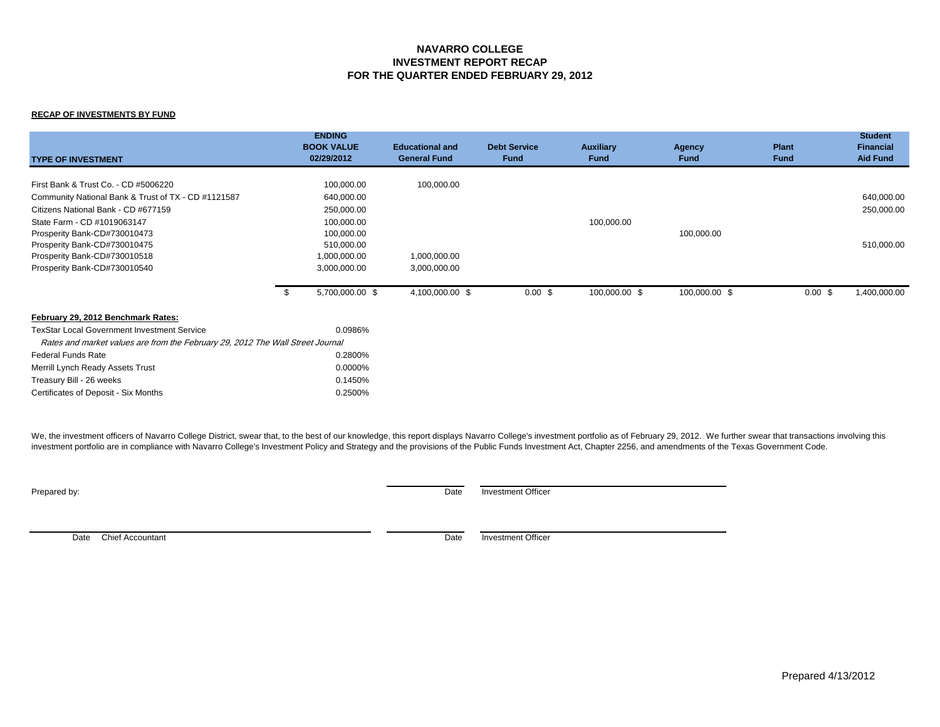#### **NAVARRO COLLEGE INVESTMENT REPORT RECAP FOR THE QUARTER ENDED FEBRUARY 29, 2012**

#### **RECAP OF INVESTMENTS BY FUND**

| <b>TYPE OF INVESTMENT</b>                                                      | <b>ENDING</b><br><b>BOOK VALUE</b><br>02/29/2012 | <b>Educational and</b><br><b>General Fund</b> | <b>Debt Service</b><br><b>Fund</b> | <b>Auxiliary</b><br><b>Fund</b> | <b>Agency</b><br><b>Fund</b> | <b>Plant</b><br><b>Fund</b> | <b>Student</b><br><b>Financial</b><br><b>Aid Fund</b> |
|--------------------------------------------------------------------------------|--------------------------------------------------|-----------------------------------------------|------------------------------------|---------------------------------|------------------------------|-----------------------------|-------------------------------------------------------|
| First Bank & Trust Co. - CD #5006220                                           | 100,000.00                                       | 100,000.00                                    |                                    |                                 |                              |                             |                                                       |
| Community National Bank & Trust of TX - CD #1121587                            | 640,000.00                                       |                                               |                                    |                                 |                              |                             | 640,000.00                                            |
| Citizens National Bank - CD #677159                                            | 250,000.00                                       |                                               |                                    |                                 |                              |                             | 250,000.00                                            |
| State Farm - CD #1019063147                                                    | 100,000.00                                       |                                               |                                    | 100,000.00                      |                              |                             |                                                       |
| Prosperity Bank-CD#730010473                                                   | 100,000.00                                       |                                               |                                    |                                 | 100,000.00                   |                             |                                                       |
| Prosperity Bank-CD#730010475                                                   | 510,000.00                                       |                                               |                                    |                                 |                              |                             | 510,000.00                                            |
| Prosperity Bank-CD#730010518                                                   | 1,000,000.00                                     | 1,000,000.00                                  |                                    |                                 |                              |                             |                                                       |
| Prosperity Bank-CD#730010540                                                   | 3,000,000.00                                     | 3,000,000.00                                  |                                    |                                 |                              |                             |                                                       |
|                                                                                | 5,700,000.00 \$                                  | 4,100,000.00 \$                               | $0.00 \text{ }$ \$                 | 100,000.00 \$                   | 100,000.00 \$                | $0.00 \text{ }$ \$          | 1,400,000.00                                          |
| February 29, 2012 Benchmark Rates:                                             |                                                  |                                               |                                    |                                 |                              |                             |                                                       |
| <b>TexStar Local Government Investment Service</b>                             | 0.0986%                                          |                                               |                                    |                                 |                              |                             |                                                       |
| Rates and market values are from the February 29, 2012 The Wall Street Journal |                                                  |                                               |                                    |                                 |                              |                             |                                                       |
| <b>Federal Funds Rate</b>                                                      | 0.2800%                                          |                                               |                                    |                                 |                              |                             |                                                       |
| Merrill Lynch Ready Assets Trust                                               | 0.0000%                                          |                                               |                                    |                                 |                              |                             |                                                       |
| Treasury Bill - 26 weeks                                                       | 0.1450%                                          |                                               |                                    |                                 |                              |                             |                                                       |
| Certificates of Deposit - Six Months                                           | 0.2500%                                          |                                               |                                    |                                 |                              |                             |                                                       |

We, the investment officers of Navarro College District, swear that, to the best of our knowledge, this report displays Navarro College's investment portfolio as of February 29, 2012. We further swear that transactions inv investment portfolio are in compliance with Navarro College's Investment Policy and Strategy and the provisions of the Public Funds Investment Act, Chapter 2256, and amendments of the Texas Government Code.

**Prepared by:** Date Investment Officer

Date Chief Accountant **Date Investment Officer** Date Investment Officer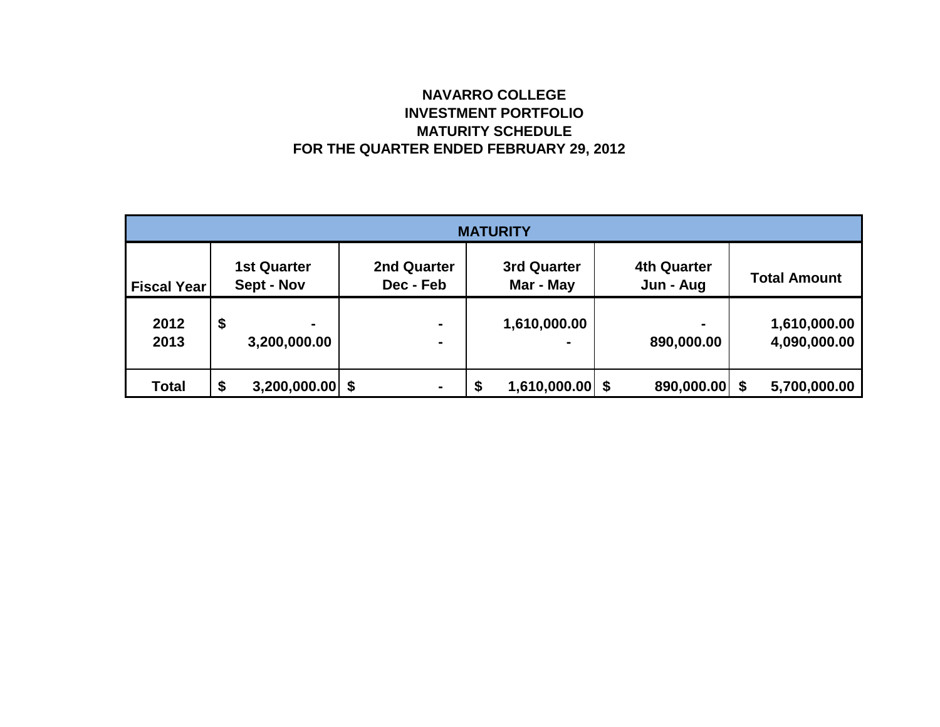# **NAVARRO COLLEGE INVESTMENT PORTFOLIO MATURITY SCHEDULE FOR THE QUARTER ENDED FEBRUARY 29, 2012**

| <b>MATURITY</b>    |    |                                  |                          |                                  |  |                                 |                                 |                              |  |                              |  |
|--------------------|----|----------------------------------|--------------------------|----------------------------------|--|---------------------------------|---------------------------------|------------------------------|--|------------------------------|--|
| <b>Fiscal Year</b> |    | <b>1st Quarter</b><br>Sept - Nov | 2nd Quarter<br>Dec - Feb |                                  |  | <b>3rd Quarter</b><br>Mar - May | <b>4th Quarter</b><br>Jun - Aug |                              |  | <b>Total Amount</b>          |  |
| 2012<br>2013       | \$ | 3,200,000.00                     |                          | $\blacksquare$<br>$\blacksquare$ |  | 1,610,000.00                    |                                 | $\blacksquare$<br>890,000.00 |  | 1,610,000.00<br>4,090,000.00 |  |
| <b>Total</b>       | \$ | $3,200,000.00$ \$                |                          | $\blacksquare$                   |  | $1,610,000.00$ \$               |                                 | 890,000.00 \$                |  | 5,700,000.00                 |  |